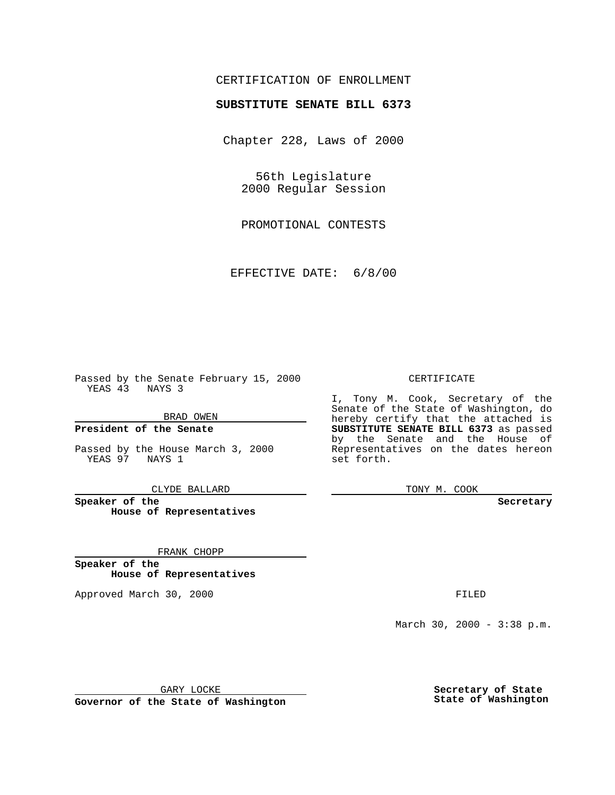### CERTIFICATION OF ENROLLMENT

# **SUBSTITUTE SENATE BILL 6373**

Chapter 228, Laws of 2000

56th Legislature 2000 Regular Session

PROMOTIONAL CONTESTS

EFFECTIVE DATE: 6/8/00

Passed by the Senate February 15, 2000 YEAS 43 NAYS 3

BRAD OWEN

**President of the Senate**

Passed by the House March 3, 2000 YEAS 97 NAYS 1

CLYDE BALLARD

**Speaker of the House of Representatives**

FRANK CHOPP

**Speaker of the House of Representatives**

Approved March 30, 2000 FILED

#### CERTIFICATE

I, Tony M. Cook, Secretary of the Senate of the State of Washington, do hereby certify that the attached is **SUBSTITUTE SENATE BILL 6373** as passed by the Senate and the House of Representatives on the dates hereon set forth.

TONY M. COOK

**Secretary**

March 30, 2000 - 3:38 p.m.

GARY LOCKE

**Governor of the State of Washington**

**Secretary of State State of Washington**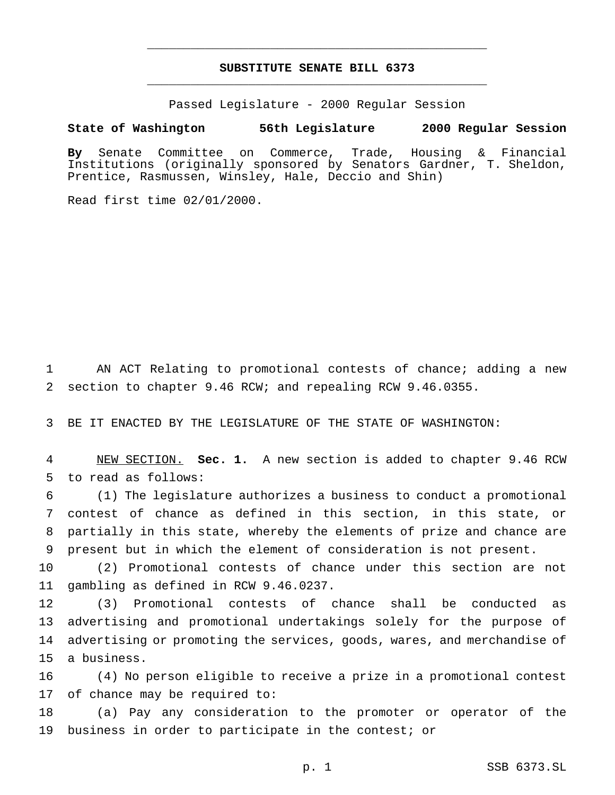## **SUBSTITUTE SENATE BILL 6373** \_\_\_\_\_\_\_\_\_\_\_\_\_\_\_\_\_\_\_\_\_\_\_\_\_\_\_\_\_\_\_\_\_\_\_\_\_\_\_\_\_\_\_\_\_\_\_

\_\_\_\_\_\_\_\_\_\_\_\_\_\_\_\_\_\_\_\_\_\_\_\_\_\_\_\_\_\_\_\_\_\_\_\_\_\_\_\_\_\_\_\_\_\_\_

Passed Legislature - 2000 Regular Session

### **State of Washington 56th Legislature 2000 Regular Session**

**By** Senate Committee on Commerce, Trade, Housing & Financial Institutions (originally sponsored by Senators Gardner, T. Sheldon, Prentice, Rasmussen, Winsley, Hale, Deccio and Shin)

Read first time 02/01/2000.

 AN ACT Relating to promotional contests of chance; adding a new section to chapter 9.46 RCW; and repealing RCW 9.46.0355.

BE IT ENACTED BY THE LEGISLATURE OF THE STATE OF WASHINGTON:

 NEW SECTION. **Sec. 1.** A new section is added to chapter 9.46 RCW to read as follows:

 (1) The legislature authorizes a business to conduct a promotional contest of chance as defined in this section, in this state, or partially in this state, whereby the elements of prize and chance are present but in which the element of consideration is not present.

 (2) Promotional contests of chance under this section are not gambling as defined in RCW 9.46.0237.

 (3) Promotional contests of chance shall be conducted as advertising and promotional undertakings solely for the purpose of advertising or promoting the services, goods, wares, and merchandise of a business.

 (4) No person eligible to receive a prize in a promotional contest of chance may be required to:

 (a) Pay any consideration to the promoter or operator of the business in order to participate in the contest; or

p. 1 SSB 6373.SL